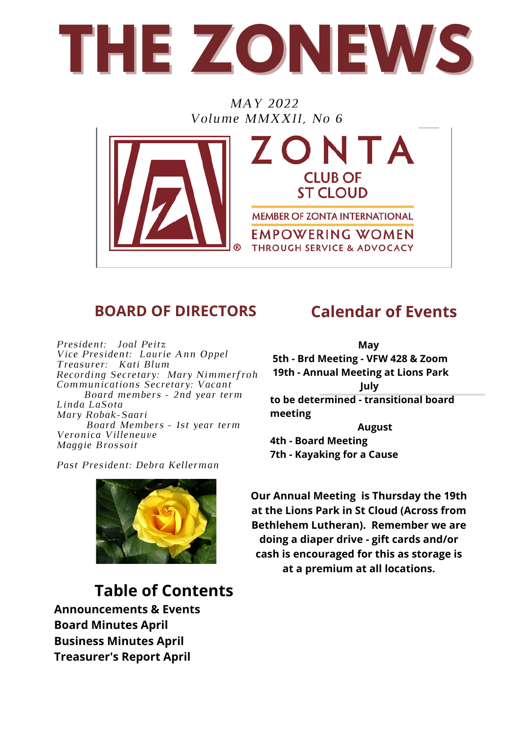

*MAY 2022 Volume MMXXII, No 6*



### **BOARD OF DIRECTORS Calendar of Events**

*President: Joal Peitz Vice President: Laurie Ann Oppel Treasurer: Kati Blum Recording Secretary: Mary Nimmerfroh Communications Secretary: Vacant Board members - 2nd year term Linda LaSota Mary Robak-Saari Board Members - 1st year term Veronica Villeneuve Maggie Brossoit*

**CALENDAR May 5th - Brd Meeting - VFW 428 & Zoom 19th - Annual Meeting at Lions Park July to be determined - transitional board meeting August 4th - Board Meeting 7th - Kayaking for a Cause**



*Past President: Debra Kellerman*

### **Table of Contents**

**Announcements & Events Board Minutes April Business Minutes April Treasurer's Report April**

**Our Annual Meeting is Thursday the 19th at the Lions Park in St Cloud (Across from Bethlehem Lutheran). Remember we are doing a diaper drive - gift cards and/or cash is encouraged for this as storage is at a premium at all locations.**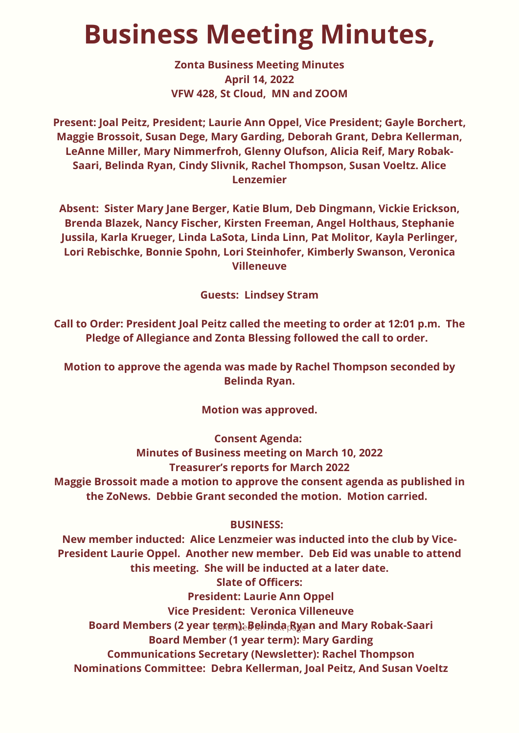## **Business Meeting Minutes,**

**Zonta Business Meeting Minutes April 14, 2022 VFW 428, St Cloud, MN and ZOOM**

**Present: Joal Peitz, President; Laurie Ann Oppel, Vice President; Gayle Borchert, Maggie Brossoit, Susan Dege, Mary Garding, Deborah Grant, Debra Kellerman, LeAnne Miller, Mary Nimmerfroh, Glenny Olufson, Alicia Reif, Mary Robak-Saari, Belinda Ryan, Cindy Slivnik, Rachel Thompson, Susan Voeltz. Alice Lenzemier**

**Absent: Sister Mary Jane Berger, Katie Blum, Deb Dingmann, Vickie Erickson, Brenda Blazek, Nancy Fischer, Kirsten Freeman, Angel Holthaus, Stephanie Jussila, Karla Krueger, Linda LaSota, Linda Linn, Pat Molitor, Kayla Perlinger, Lori Rebischke, Bonnie Spohn, Lori Steinhofer, Kimberly Swanson, Veronica Villeneuve**

**Guests: Lindsey Stram**

**Call to Order: President Joal Peitz called the meeting to order at 12:01 p.m. The Pledge of Allegiance and Zonta Blessing followed the call to order.** 

**Motion to approve the agenda was made by Rachel Thompson seconded by Belinda Ryan.**

**Motion was approved.**

**Consent Agenda:**

**Minutes of Business meeting on March 10, 2022 Treasurer's reports for March 2022 Maggie Brossoit made a motion to approve the consent agenda as published in the ZoNews. Debbie Grant seconded the motion. Motion carried.** 

#### **BUSINESS:**

Board Members (2 year term)eBelinda<sub>ß</sub> an and Mary Robak-Saari **New member inducted: Alice Lenzmeier was inducted into the club by Vice-President Laurie Oppel. Another new member. Deb Eid was unable to attend this meeting. She will be inducted at a later date. Slate of Officers: President: Laurie Ann Oppel Vice President: Veronica Villeneuve Board Member (1 year term): Mary Garding Communications Secretary (Newsletter): Rachel Thompson Nominations Committee: Debra Kellerman, Joal Peitz, And Susan Voeltz**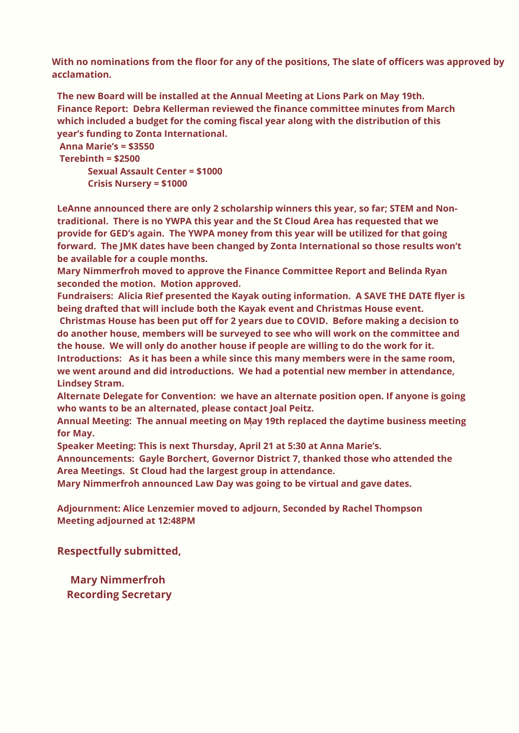**With no nominations from the floor for any of the positions, The slate of officers was approved by acclamation.**

**The new Board will be installed at the Annual Meeting at Lions Park on May 19th. Finance Report: Debra Kellerman reviewed the finance committee minutes from March which included a budget for the coming fiscal year along with the distribution of this year's funding to Zonta International.** 

**Anna Marie's = \$3550 Terebinth = \$2500 Sexual Assault Center = \$1000 Crisis Nursery = \$1000**

**LeAnne announced there are only 2 scholarship winners this year, so far; STEM and Nontraditional. There is no YWPA this year and the St Cloud Area has requested that we provide for GED's again. The YWPA money from this year will be utilized for that going forward. The JMK dates have been changed by Zonta International so those results won't be available for a couple months.**

**Mary Nimmerfroh moved to approve the Finance Committee Report and Belinda Ryan seconded the motion. Motion approved.**

**Fundraisers: Alicia Rief presented the Kayak outing information. A SAVE THE DATE flyer is being drafted that will include both the Kayak event and Christmas House event.**

**Christmas House has been put off for 2 years due to COVID. Before making a decision to do another house, members will be surveyed to see who will work on the committee and the house. We will only do another house if people are willing to do the work for it. Introductions: As it has been a while since this many members were in the same room, we went around and did introductions. We had a potential new member in attendance, Lindsey Stram.**

**Alternate Delegate for Convention: we have an alternate position open. If anyone is going who wants to be an alternated, please contact Joal Peitz.**

? **Annual Meeting: The annual meeting on May 19th replaced the daytime business meeting for May.**

**Speaker Meeting: This is next Thursday, April 21 at 5:30 at Anna Marie's.**

**Announcements: Gayle Borchert, Governor District 7, thanked those who attended the Area Meetings. St Cloud had the largest group in attendance.**

**Mary Nimmerfroh announced Law Day was going to be virtual and gave dates.**

**Adjournment: Alice Lenzemier moved to adjourn, Seconded by Rachel Thompson Meeting adjourned at 12:48PM**

**Respectfully submitted,**

**Mary Nimmerfroh Recording Secretary**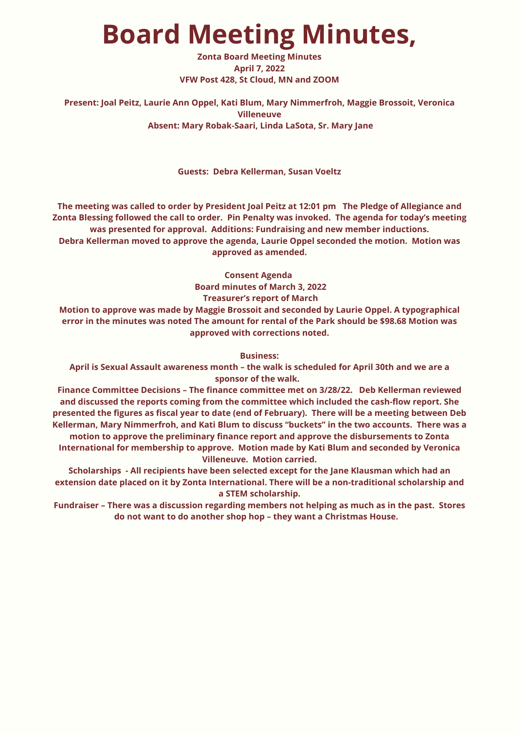## **Board Meeting Minutes,**

**Zonta Board Meeting Minutes April 7, 2022 VFW Post 428, St Cloud, MN and ZOOM**

#### **Present: Joal Peitz, Laurie Ann Oppel, Kati Blum, Mary Nimmerfroh, Maggie Brossoit, Veronica Villeneuve Absent: Mary Robak-Saari, Linda LaSota, Sr. Mary Jane**

**Guests: Debra Kellerman, Susan Voeltz**

**The meeting was called to order by President Joal Peitz at 12:01 pm The Pledge of Allegiance and Zonta Blessing followed the call to order. Pin Penalty was invoked. The agenda for today's meeting was presented for approval. Additions: Fundraising and new member inductions. Debra Kellerman moved to approve the agenda, Laurie Oppel seconded the motion. Motion was approved as amended.**

**Consent Agenda**

**Board minutes of March 3, 2022**

**Treasurer's report of March**

**Motion to approve was made by Maggie Brossoit and seconded by Laurie Oppel. A typographical error in the minutes was noted The amount for rental of the Park should be \$98.68 Motion was approved with corrections noted.**

**Business:**

**April is Sexual Assault awareness month – the walk is scheduled for April 30th and we are a sponsor of the walk.** 

**Finance Committee Decisions – The finance committee met on 3/28/22. Deb Kellerman reviewed and discussed the reports coming from the committee which included the cash-flow report. She presented the figures as fiscal year to date (end of February). There will be a meeting between Deb Kellerman, Mary Nimmerfroh, and Kati Blum to discuss "buckets" in the two accounts. There was a**

**motion to approve the preliminary finance report and approve the disbursements to Zonta International for membership to approve. Motion made by Kati Blum and seconded by Veronica Villeneuve. Motion carried.**

**Scholarships - All recipients have been selected except for the Jane Klausman which had an extension date placed on it by Zonta International. There will be a non-traditional scholarship and a STEM scholarship.**

**Fundraiser – There was a discussion regarding members not helping as much as in the past. Stores do not want to do another shop hop – they want a Christmas House.**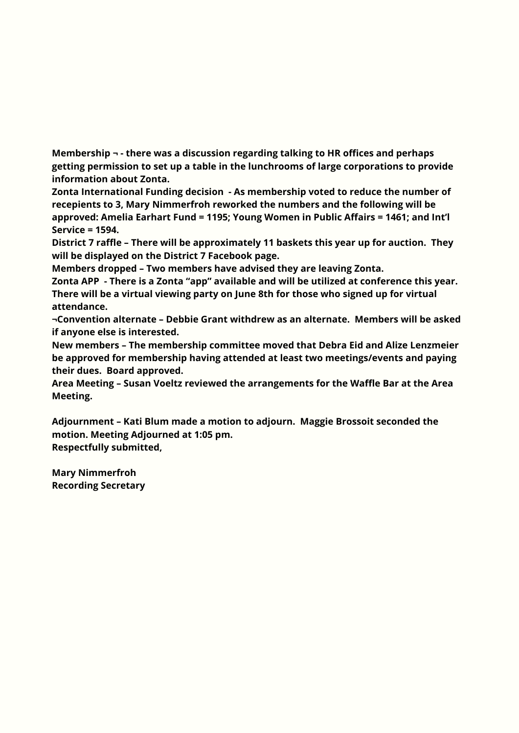**Membership ¬ - there was a discussion regarding talking to HR offices and perhaps getting permission to set up a table in the lunchrooms of large corporations to provide information about Zonta.**

**Zonta International Funding decision - As membership voted to reduce the number of recepients to 3, Mary Nimmerfroh reworked the numbers and the following will be approved: Amelia Earhart Fund = 1195; Young Women in Public Affairs = 1461; and Int'l Service = 1594.**

**District 7 raffle – There will be approximately 11 baskets this year up for auction. They will be displayed on the District 7 Facebook page.**

**Members dropped – Two members have advised they are leaving Zonta.**

**Zonta APP - There is a Zonta "app" available and will be utilized at conference this year. There will be a virtual viewing party on June 8th for those who signed up for virtual attendance.**

**¬Convention alternate – Debbie Grant withdrew as an alternate. Members will be asked if anyone else is interested.**

**New members – The membership committee moved that Debra Eid and Alize Lenzmeier be approved for membership having attended at least two meetings/events and paying their dues. Board approved.**

**Area Meeting – Susan Voeltz reviewed the arrangements for the Waffle Bar at the Area Meeting.**

**Adjournment – Kati Blum made a motion to adjourn. Maggie Brossoit seconded the motion. Meeting Adjourned at 1:05 pm. Respectfully submitted,**

**Mary Nimmerfroh Recording Secretary**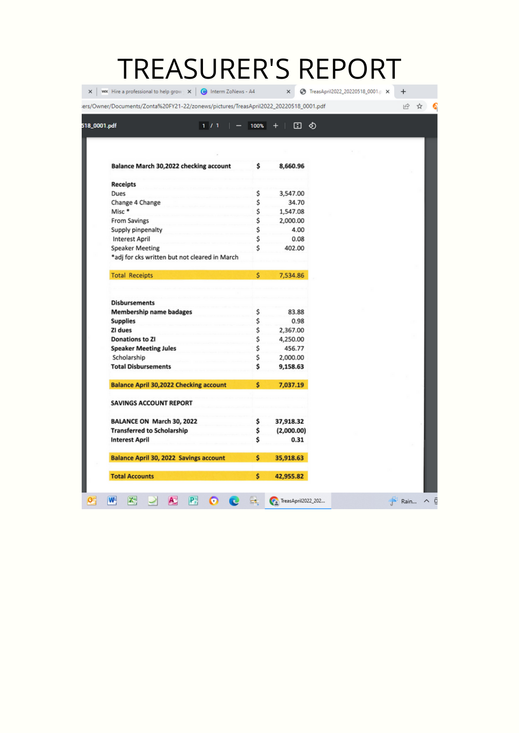# TREASURER'S REPORT

| 8,660.96           |                                              |  |  |  |  |  |  |  |  |
|--------------------|----------------------------------------------|--|--|--|--|--|--|--|--|
|                    |                                              |  |  |  |  |  |  |  |  |
| 3,547.00           |                                              |  |  |  |  |  |  |  |  |
| 34.70              |                                              |  |  |  |  |  |  |  |  |
| 1,547.08           |                                              |  |  |  |  |  |  |  |  |
| 2,000.00           |                                              |  |  |  |  |  |  |  |  |
| 4.00               |                                              |  |  |  |  |  |  |  |  |
| 0.08               |                                              |  |  |  |  |  |  |  |  |
| 402.00             |                                              |  |  |  |  |  |  |  |  |
|                    |                                              |  |  |  |  |  |  |  |  |
| 7,534.86           |                                              |  |  |  |  |  |  |  |  |
|                    |                                              |  |  |  |  |  |  |  |  |
|                    |                                              |  |  |  |  |  |  |  |  |
| 83.88              |                                              |  |  |  |  |  |  |  |  |
| 0.98               |                                              |  |  |  |  |  |  |  |  |
| 2,367.00           |                                              |  |  |  |  |  |  |  |  |
| 4,250.00<br>456.77 |                                              |  |  |  |  |  |  |  |  |
| 2,000.00           |                                              |  |  |  |  |  |  |  |  |
| 9,158.63           |                                              |  |  |  |  |  |  |  |  |
| 7,037.19           |                                              |  |  |  |  |  |  |  |  |
|                    |                                              |  |  |  |  |  |  |  |  |
|                    |                                              |  |  |  |  |  |  |  |  |
|                    |                                              |  |  |  |  |  |  |  |  |
|                    |                                              |  |  |  |  |  |  |  |  |
|                    |                                              |  |  |  |  |  |  |  |  |
|                    | 37,918.32<br>(2,000.00)<br>0.31<br>35,918.63 |  |  |  |  |  |  |  |  |